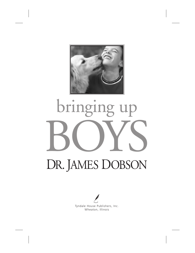

# bringing up DR.JAMES DOBSON BOYS

Tyndale House Publishers, Inc. Wheaton, Illinois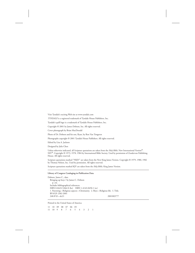Visit Tyndale's exciting Web site at www.tyndale.com

TYNDALE is a registered trademark of Tyndale House Publishers, Inc.

Tyndale's quill logo is a trademark of Tyndale House Publishers, Inc.

Copyright © 2001 by James Dobson, Inc. All rights reserved.

Cover photograph by Brian MacDonald

Photo of Dr. Dobson and his son, Ryan, by Ron Van Tongeren

Photographs copyright © 2001 Tyndale House Publishers. All rights reserved.

Edited by Lisa A. Jackson

Designed by Julie Chen

Unless otherwise indicated, all Scripture quotations are taken from the Holy Bible, New International Version®. NIV®. Copyright © 1973, 1978, 1984 by International Bible Society. Used by permission of Zondervan Publishing House. All rights reserved.

Scripture quotations marked "NKJV" are taken from the New King James Version. Copyright © 1979, 1980, 1982 by Thomas Nelson, Inc. Used by permission. All rights reserved.

Scripture quotations marked KJV are taken from the Holy Bible, King James Version.

#### Library of Congress Cataloging-in-Publication Data

Dobson, James C., date. Bringing up boys / by James C. Dobson p. cm. Includes bibliographical references. ISBN 0-8423-5266-X (hc) ISBN 1-4143-0450-1 (sc) 1. Parenting-Religious aspects-Christianity. 2. Boys-Religious life. I. Title. BV4529.D63 2001 248.8'45-dc21 2001003777

Printed in the United States of America

11 10 09 08 07 06 05  $11$   $10$   $9$   $8$   $7$   $6$   $5$   $4$   $3$   $2$   $1$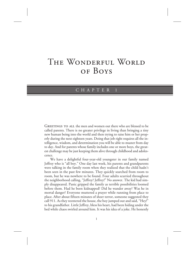# The Wonderful World of Boys

# C H A P T E R 1

GREETINGS TO ALL the men and women out there who are blessed to be called parents. There is no greater privilege in living than bringing a tiny new human being into the world and then trying to raise him or her properly during the next eighteen years. Doing that job right requires all the intelligence, wisdom, and determination you will be able to muster from day to day. And for parents whose family includes one or more boys, the greatest challenge may be just keeping them alive through childhood and adolescence.

We have a delightful four-year-old youngster in our family named Jeffrey who is "all boy." One day last week, his parents and grandparents were talking in the family room when they realized that the child hadn't been seen in the past few minutes. They quickly searched from room to room, but he was nowhere to be found. Four adults scurried throughout the neighborhood calling, "Jeffrey? Jeffrey!" No answer. The kid had simply disappeared. Panic gripped the family as terrible possibilities loomed before them. Had he been kidnapped? Did he wander away? Was he in mortal danger? Everyone muttered a prayer while running from place to place. After about fifteen minutes of sheer terror, someone suggested they call 911. As they reentered the house, the boy jumped out and said, "Hey!" to his grandfather. Little Jeffrey, bless his heart, had been hiding under the bed while chaos swirled around him. It was his idea of a joke. He honestly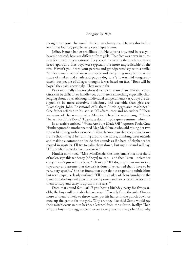thought everyone else would think it was funny too. He was shocked to learn that four big people were very angry at him.

Jeffrey is not a bad or rebellious kid. He is just a boy. And in case you haven't noticed, boys are different from girls. That fact was never in question for previous generations. They knew intuitively that each sex was a breed apart and that boys were typically the more unpredictable of the two. Haven't you heard your parents and grandparents say with a smile, "Girls are made out of sugar and spice and everything nice, but boys are made of snakes and snails and puppy-dog tails"? It was said tongue-incheek, but people of all ages thought it was based on fact. "Boys will be boys," they said knowingly. They were right.

Boys are usually (but not always) tougher to raise than their sisters are. Girls can be difficult to handle too, but there is something especially challenging about boys. Although individual temperaments vary, boys are designed to be more assertive, audacious, and excitable than girls are. Psychologist John Rosemond calls them "little aggressive machines."<sup>1</sup> One father referred to his son as "all afterburner and no rudder." These are some of the reasons why Maurice Chevalier never sang, "Thank Heaven for Little Boys." They just don't inspire great sentimentality.

In an article entitled, "What Are Boys Made Of?" reporter Paula Gray Hunker quoted a mother named Meg MacKenzie who said raising her two sons is like living with a tornado. "From the moment that they come home from school, they'll be running around the house, climbing trees outside and making a commotion inside that sounds as if a herd of elephants has moved in upstairs. I'll try to calm them down, but my husband will say, 'This is what boys do. Get used to it.'"

Hunker continued, "Mrs. MacKenzie, the lone female in a household of males, says this tendency [of boys] to leap—and then listen—drives her crazy. 'I can't just tell my boys, "Clean up." If I do, they'll put one or two toys away and assume that the task is done. I've learned that I have to be very, very specific.' She has found that boys do not respond to subtle hints but need requests clearly outlined. 'I'll put a basket of clean laundry on the stairs, and the boys will pass it by twenty times and not once will it occur to them to stop and carry it upstairs,' she says."2

Does that sound familiar? If you host a birthday party for five-yearolds, the boys will probably behave very differently from the girls. One or more of them is likely to throw cake, put his hands in the punch bowl, or mess up the games for the girls. Why are they like this? Some would say their mischievous nature has been learned from the culture. Really? Then why are boys more aggressive in every society around the globe? And why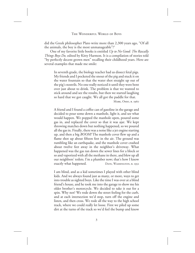did the Greek philosopher Plato write more than 2,300 years ago, "Of all the animals, the boy is the most unmanageable"? $3^3$ 

One of my favorite little books is entitled *Up to No Good: The Rascally Things Boys Do,* edited by Kitty Harmon. It is a compilation of stories told "by perfectly decent grown men" recalling their childhood years. Here are several examples that made me smile:

In seventh grade, the biology teacher had us dissect fetal pigs. My friends and I pocketed the snout of the pig and stuck it on the water fountain so that the water shot straight up out of the pig's nostrils. No one really noticed it until they were bent over just about to drink. The problem is that we wanted to stick around and see the results, but then we started laughing so hard that we got caught. We all got the paddle for that. Mark, Ohio, b. 1960

A friend and I found a coffee can of gasoline in the garage and decided to pour some down a manhole, light it, and see what would happen. We popped the manhole open, poured some gas in, and replaced the cover so that it was ajar. We kept throwing matches down but nothing happened, so we poured all the gas in. Finally, there was a noise like a jet engine starting up, and then a big *BOOM!* The manhole cover flew up and a flame shot up about fifteen feet in the air. The ground was rumbling like an earthquake, and the manhole cover crashed about twelve feet away in the neighbor's driveway. What happened was the gas ran down the sewer lines for a block or so and vaporized with all the methane in there, and blew up all our neighbors' toilets. I'm a plumber now; that's how I know exactly what happened. DAVE, WASHINGTON, B. 1952

I am blind, and as a kid sometimes I played with other blind kids. And we always found just as many, or more, ways to get into trouble as sighted boys. Like the time I was over at a blind friend's house, and he took me into the garage to show me his older brother's motorcycle. We decided to take it out for a spin. Why not? We rode down the street feeling for the curb, and at each intersection we'd stop, turn off the engine and listen, and then cross. We rode all the way to the high school track, where we could really let loose. First we piled up some dirt at the turns of the track so we'd feel the bump and know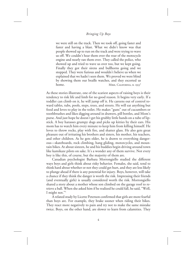# *Bringing Up Boys*

we were still on the track. Then we took off, going faster and faster and having a blast. What we didn't know was that people showed up to run on the track and were trying to wave us off. We couldn't hear them over the roar of the motocycle engine and nearly ran them over. They called the police, who showed up and tried to wave us over too, but we kept going. Finally they got their sirens and bullhorns going and we stopped. They were furious and wouldn't believe us when we explained that we hadn't seen them. We proved we were blind by showing them our braille watches, and they escorted us home. MIKE, CALIFORNIA, B. 1953<sup>4</sup>

As these stories illustrate, one of the scariest aspects of raising boys is their tendency to risk life and limb for no good reason. It begins very early. If a toddler can climb on it, he will jump off it. He careens out of control toward tables, tubs, pools, steps, trees, and streets. He will eat anything but food and loves to play in the toilet. He makes "guns" out of cucumbers or toothbrushes and likes digging around in drawers, pill bottles, and Mom's purse. And just hope he doesn't get his grubby little hands on a tube of lipstick. A boy harasses grumpy dogs and picks up kitties by their ears. His mom has to watch him every minute to keep him from killing himself. He loves to throw rocks, play with fire, and shatter glass. He also gets great pleasure out of irritating his brothers and sisters, his mother, his teachers, and other children. As he gets older, he is drawn to everything dangerous—skateboards, rock climbing, hang gliding, motorcycles, and mountain bikes. At about sixteen, he and his buddies begin driving around town like kamikaze pilots on sake. It's a wonder any of them survive. Not every boy is like this, of course, but the majority of them are.

Canadian psychologist Barbara Morrongiello studied the different ways boys and girls think about risky behavior. Females, she said, tend to think hard about whether or not they could get hurt, and they are less likely to plunge ahead if there is any potential for injury. Boys, however, will take a chance if they think the danger is worth the risk. Impressing their friends (and eventually girls) is usually considered worth the risk. Morrongiello shared a story about a mother whose son climbed on the garage roof to retrieve a ball. When she asked him if he realized he could fall, he said, "Well, I might not."<sup>5</sup>

A related study by Licette Peterson confirmed that girls are more fearful than boys are. For example, they brake sooner when riding their bikes. They react more negatively to pain and try not to make the same mistake twice. Boys, on the other hand, are slower to learn from calamities. They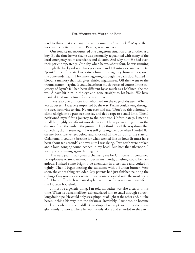tend to think that their injuries were caused by "bad luck."6 Maybe their luck will be better next time. Besides, scars are cool.

Our son, Ryan, encountered one dangerous situation after another as a boy. By the time he was six, he was personally acquainted with many of the local emergency room attendants and doctors. And why not? He had been their patient repeatedly. One day when he was about four, he was running through the backyard with his eyes closed and fell into a decorative metal "plant." One of the steel rods stuck him in the right eyebrow and exposed the bone underneath. He came staggering through the back door bathed in blood, a memory that still gives Shirley nightmares. Off they went to the trauma center—again. It could have been much worse, of course. If the trajectory of Ryan's fall had been different by as much as a half inch, the rod would have hit him in the eye and gone straight to his brain. We have thanked God many times for the near misses.

I was also one of those kids who lived on the edge of disaster. When I was about ten, I was very impressed by the way Tarzan could swing through the trees from vine to vine. No one ever told me, "Don't try this at home." I climbed high into a pear tree one day and tied a rope to a small limb. Then I positioned myself for a journey to the next tree. Unfortunately, I made a small but highly significant miscalculation. The rope was longer than the distance from the limb to the ground. I kept thinking all the way down that something didn't seem right. I was still gripping the rope when I landed flat on my back twelve feet below and knocked all the air out of the state of Oklahoma. I couldn't breathe for what seemed like an hour (it must have been about ten seconds) and was sure I was dying. Two teeth were broken and a loud gonging sound echoed in my head. But later that afternoon, I was up and running again. No big deal.

The next year, I was given a chemistry set for Christmas. It contained no explosives or toxic materials, but in my hands, anything could be hazardous. I mixed some bright blue chemicals in a test tube and corked it tightly. Then I began heating the substance with a Bunsen burner. Very soon, the entire thing exploded. My parents had just finished painting the ceiling of my room a stark white. It was soon decorated with the most beautiful blue stuff, which remained splattered there for years. Such was life in the Dobson household.

It must be a genetic thing. I'm told my father was also a terror in his time. When he was a small boy, a friend dared him to crawl through a blocklong drainpipe. He could only see a pinpoint of light at the other end, but he began inching his way into the darkness. Inevitably, I suppose, he became stuck somewhere in the middle. Claustrophobia swept over him as he struggled vainly to move. There he was, utterly alone and stranded in the pitch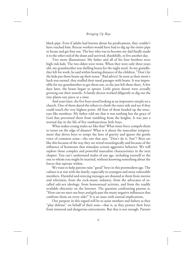### *Bringing Up Boys*

black pipe. Even if adults had known about his predicament, they couldn't have reached him. Rescue workers would have had to dig up the entire pipe to locate and get him out. The boy who was to become my dad finally made it to the other end of the drain and survived, thankfully, to live another day.

Two more illustrations: My father and all of his four brothers were high-risk kids. The two eldest were twins. When they were only three years old, my grandmother was shelling beans for the night meal. As my grandfather left for work, he said within hearing distance of the children, "Don't let the kids put those beans up their noses." Bad advice! As soon as their mom's back was turned, they stuffed their nasal passages with beans. It was impossible for my grandmother to get them out, so she just left them there. A few days later, the beans began to sprout. Little green shoots were actually growing out their nostrils. A family doctor worked diligently to dig out the tiny plants one piece at a time.

And years later, the five boys stood looking at an impressive steeple on a church. One of them dared the others to climb the outer side and see if they could touch the very highest point. All four of them headed up the structure like monkeys. My father told me that it was nothing but the grace of God that prevented them from tumbling from the heights. It was just a normal day in the life of five rambunctious little boys.

What makes young males act like that? What inner force compels them to teeter on the edge of disaster? What is it about the masculine temperament that drives boys to tempt the laws of gravity and ignore the gentle voice of common sense—the one that says, "Don't do it, Son"? Boys are like this because of the way they are wired neurologically and because of the influence of hormones that stimulate certain aggressive behavior. We will explore those complex and powerful masculine characteristics in the next chapter. You can't understand males of any age, including yourself or the one to whom you might be married, without knowing something about the forces that operate within.

We want to help parents raise "good" boys in this postmodern age. The culture is at war with the family, especially its youngest and most vulnerable members. Harmful and enticing messages are shouted at them from movies and television, from the rock-music industry, from the advocates of socalled safe-sex ideology, from homosexual activists, and from the readily available obscenity on the Internet. The question confronting parents is, "How can we steer our boys *and* girls past the many negative influences that confront them on every side?" It is an issue with eternal implications.

Our purpose in this regard will be to assist mothers and fathers as they "play defense" on behalf of their sons—that is, as they protect their boys from immoral and dangerous enticements. But that is not enough. Parents